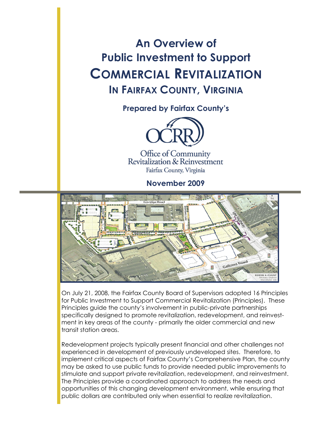**An Overview of Public Investment to Support COMMERCIAL REVITALIZATION IN FAIRFAX COUNTY, VIRGINIA**

**Prepared by Fairfax County's** 



Office of Community Revitalization & Reinvestment Fairfax County, Virginia

**November 2009** 



On July 21, 2008, the Fairfax County Board of Supervisors adopted 16 Principles for Public Investment to Support Commercial Revitalization (Principles). These Principles guide the county's involvement in public-private partnerships specifically designed to promote revitalization, redevelopment, and reinvestment in key areas of the county - primarily the older commercial and new transit station areas.

Redevelopment projects typically present financial and other challenges not experienced in development of previously undeveloped sites. Therefore, to implement critical aspects of Fairfax County's Comprehensive Plan, the county may be asked to use public funds to provide needed public improvements to stimulate and support private revitalization, redevelopment, and reinvestment. The Principles provide a coordinated approach to address the needs and opportunities of this changing development environment, while ensuring that public dollars are contributed only when essential to realize revitalization.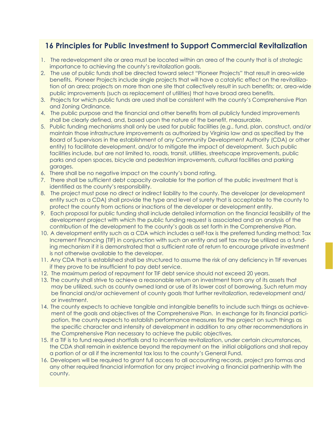# **16 Principles for Public Investment to Support Commercial Revitalization**

- 1. The redevelopment site or area must be located within an area of the county that is of strategic importance to achieving the county's revitalization goals.
- 2. The use of public funds shall be directed toward select "Pioneer Projects" that result in area-wide benefits. Pioneer Projects include single projects that will have a catalytic effect on the revitaliliza tion of an area; projects on more than one site that collectively result in such benefits; or, area-wide public improvements (such as replacement of utilities) that have broad area benefits.
- 3. Projects for which public funds are used shall be consistent with the county's Comprehensive Plan and Zoning Ordinance*.*
- 4. The public purpose and the financial and other benefits from all publicly funded improvements shall be clearly defined, and, based upon the nature of the benefit, measurable.
- 5. Public funding mechanisms shall only be used for public facilities (e*.g.*, fund, plan, construct, and/or maintain those infrastructure improvements as authorized by Virginia law and as specified by the Board of Supervisors in the establishment of any Community Development Authority (CDA) or other entity) to facilitate development, and/or to mitigate the impact of development. Such public facilities include, but are not limited to, roads, transit, utilities, streetscape improvements, public parks and open spaces, bicycle and pedestrian improvements, cultural facilities and parking garages.
- 6. There shall be no negative impact on the county's bond rating.
- 7. There shall be sufficient debt capacity available for the portion of the public investment that is identified as the county's responsibility.
- 8. The project must pose no direct or indirect liability to the county. The developer (or development entity such as a CDA) shall provide the type and level of surety that is acceptable to the county to protect the county from actions or inactions of the developer or development entity.
- 9. Each proposal for public funding shall include detailed information on the financial feasibility of the development project with which the public funding request is associated and an analysis of the contribution of the development to the county's goals as set forth in the Comprehensive Plan.
- 10. A development entity such as a CDA which includes a self-tax is the preferred funding method; Tax Increment Financing (TIF) in conjunction with such an entity and self tax may be utilized as a fund ing mechanism if it is demonstrated that a sufficient rate of return to encourage private investment is not otherwise available to the developer.
- 11. Any CDA that is established shall be structured to assume the risk of any deficiency in TIF revenues if they prove to be insufficient to pay debt service.
- 12. The maximum period of repayment for TIF debt service should not exceed 20 years.
- 13. The county shall strive to achieve a reasonable return on investment from any of its assets that may be utilized, such as county owned land or use of its lower cost of borrowing. Such return may be financial and/or achievement of county goals that further revitalization, redevelopment and/ or investment.
- 14. The county expects to achieve tangible and intangible benefits to include such things as achieve ment of the goals and objectives of the Comprehensive Plan. In exchange for its financial partici pation, the county expects to establish performance measures for the project on such things as the specific character and intensity of development in addition to any other recommendations in the Comprehensive Plan necessary to achieve the public objectives.
- 15. If a TIF is to fund required shortfalls and to incentivize revitalization, under certain circumstances, the CDA shall remain in existence beyond the repayment on the initial obligations and shall repay a portion of or all if the incremental tax loss to the county's General Fund.
- 16. Developers will be required to grant full access to all accounting records, project pro formas and any other required financial information for any project involving a financial partnership with the county.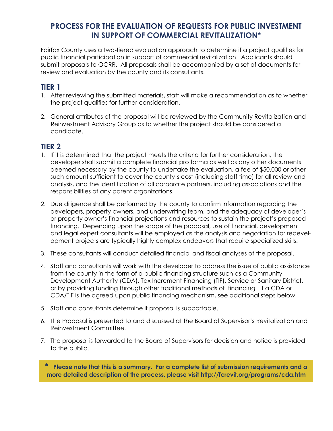#### **PROCESS FOR THE EVALUATION OF REQUESTS FOR PUBLIC INVESTMENT IN SUPPORT OF COMMERCIAL REVITALIZATION\***

Fairfax County uses a two-tiered evaluation approach to determine if a project qualifies for public financial participation in support of commercial revitalization. Applicants should submit proposals to OCRR. All proposals shall be accompanied by a set of documents for review and evaluation by the county and its consultants.

## **TIER 1**

- 1. After reviewing the submitted materials, staff will make a recommendation as to whether the project qualifies for further consideration.
- 2. General attributes of the proposal will be reviewed by the Community Revitalization and Reinvestment Advisory Group as to whether the project should be considered a candidate.

#### **TIER 2**

- 1. If it is determined that the project meets the criteria for further consideration, the developer shall submit a complete financial pro forma as well as any other documents deemed necessary by the county to undertake the evaluation, a fee of \$50,000 or other such amount sufficient to cover the county's cost (including staff time) for all review and analysis, and the identification of all corporate partners, including associations and the responsibilities of any parent organizations.
- 2. Due diligence shall be performed by the county to confirm information regarding the developers, property owners, and underwriting team, and the adequacy of developer's or property owner's financial projections and resources to sustain the project's proposed financing. Depending upon the scope of the proposal, use of financial, development and legal expert consultants will be employed as the analysis and negotiation for redevelopment projects are typically highly complex endeavors that require specialized skills.
- 3. These consultants will conduct detailed financial and fiscal analyses of the proposal.
- 4. Staff and consultants will work with the developer to address the issue of public assistance from the county in the form of a public financing structure such as a Community Development Authority (CDA), Tax Increment Financing (TIF), Service or Sanitary District, or by providing funding through other traditional methods of financing. If a CDA or CDA/TIF is the agreed upon public financing mechanism, see additional steps below.
- 5. Staff and consultants determine if proposal is supportable.
- 6. The Proposal is presented to and discussed at the Board of Supervisor's Revitalization and Reinvestment Committee.
- 7. The proposal is forwarded to the Board of Supervisors for decision and notice is provided to the public.

**\* Please note that this is a summary. For a complete list of submission requirements and a more detailed description of the process, please visit http://fcrevit.org/programs/cda.htm**